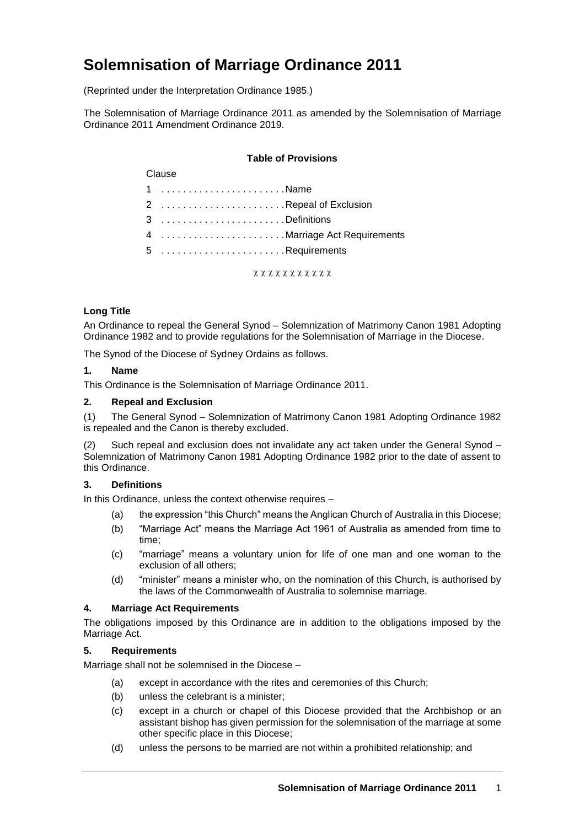# **Solemnisation of Marriage Ordinance 2011**

(Reprinted under the Interpretation Ordinance 1985.)

The Solemnisation of Marriage Ordinance 2011 as amended by the Solemnisation of Marriage Ordinance 2011 Amendment Ordinance 2019.

### **Table of Provisions**

#### Clause

- 1 . . . . . . . . . . . . . . . . . . . . . . . Name 2 . . . . . . . . . . . . . . . . . . . . . . . Repeal of Exclusion
- 3 . . . . . . . . . . . . . . . . . . . . . . . Definitions
- 4 . . . . . . . . . . . . . . . . . . . . . . .Marriage Act Requirements
- 5 . . . . . . . . . . . . . . . . . . . . . . . Requirements

xxxxxxxxxxx

## **Long Title**

An Ordinance to repeal the General Synod – Solemnization of Matrimony Canon 1981 Adopting Ordinance 1982 and to provide regulations for the Solemnisation of Marriage in the Diocese.

The Synod of the Diocese of Sydney Ordains as follows.

#### **1. Name**

This Ordinance is the Solemnisation of Marriage Ordinance 2011.

## **2. Repeal and Exclusion**

(1) The General Synod – Solemnization of Matrimony Canon 1981 Adopting Ordinance 1982 is repealed and the Canon is thereby excluded.

(2) Such repeal and exclusion does not invalidate any act taken under the General Synod – Solemnization of Matrimony Canon 1981 Adopting Ordinance 1982 prior to the date of assent to this Ordinance.

## **3. Definitions**

In this Ordinance, unless the context otherwise requires –

- (a) the expression "this Church" means the Anglican Church of Australia in this Diocese;
- (b) "Marriage Act" means the Marriage Act 1961 of Australia as amended from time to time;
- (c) "marriage" means a voluntary union for life of one man and one woman to the exclusion of all others;
- (d) "minister" means a minister who, on the nomination of this Church, is authorised by the laws of the Commonwealth of Australia to solemnise marriage.

## **4. Marriage Act Requirements**

The obligations imposed by this Ordinance are in addition to the obligations imposed by the Marriage Act.

## **5. Requirements**

Marriage shall not be solemnised in the Diocese –

- (a) except in accordance with the rites and ceremonies of this Church;
- (b) unless the celebrant is a minister;
- (c) except in a church or chapel of this Diocese provided that the Archbishop or an assistant bishop has given permission for the solemnisation of the marriage at some other specific place in this Diocese;
- (d) unless the persons to be married are not within a prohibited relationship; and